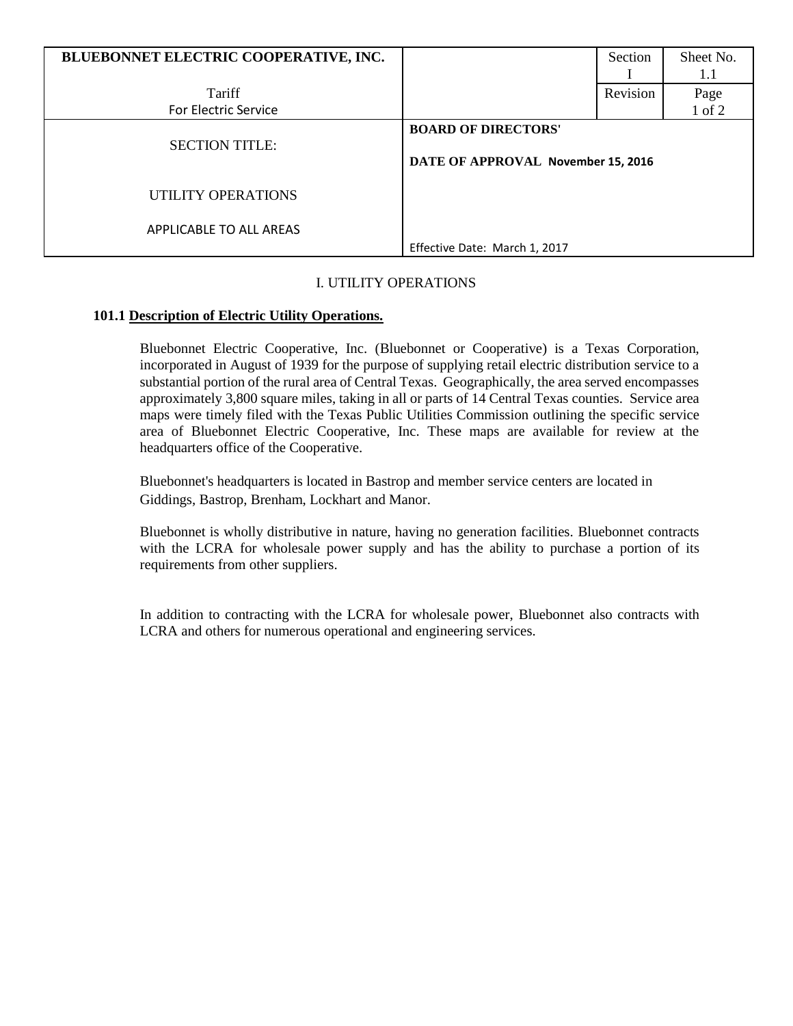| BLUEBONNET ELECTRIC COOPERATIVE, INC. |                                    | Section  | Sheet No. |
|---------------------------------------|------------------------------------|----------|-----------|
|                                       |                                    |          | 1.1       |
| Tariff                                |                                    | Revision | Page      |
| <b>For Electric Service</b>           |                                    |          | 1 of 2    |
|                                       | <b>BOARD OF DIRECTORS'</b>         |          |           |
| <b>SECTION TITLE:</b>                 |                                    |          |           |
|                                       | DATE OF APPROVAL November 15, 2016 |          |           |
| UTILITY OPERATIONS                    |                                    |          |           |
|                                       |                                    |          |           |
| APPLICABLE TO ALL AREAS               |                                    |          |           |
|                                       | Effective Date: March 1, 2017      |          |           |

## I. UTILITY OPERATIONS

## **101.1 Description of Electric Utility Operations.**

Bluebonnet Electric Cooperative, Inc. (Bluebonnet or Cooperative) is a Texas Corporation, incorporated in August of 1939 for the purpose of supplying retail electric distribution service to a substantial portion of the rural area of Central Texas. Geographically, the area served encompasses approximately 3,800 square miles, taking in all or parts of 14 Central Texas counties. Service area maps were timely filed with the Texas Public Utilities Commission outlining the specific service area of Bluebonnet Electric Cooperative, Inc. These maps are available for review at the headquarters office of the Cooperative.

Bluebonnet's headquarters is located in Bastrop and member service centers are located in Giddings, Bastrop, Brenham, Lockhart and Manor.

Bluebonnet is wholly distributive in nature, having no generation facilities. Bluebonnet contracts with the LCRA for wholesale power supply and has the ability to purchase a portion of its requirements from other suppliers.

In addition to contracting with the LCRA for wholesale power, Bluebonnet also contracts with LCRA and others for numerous operational and engineering services.